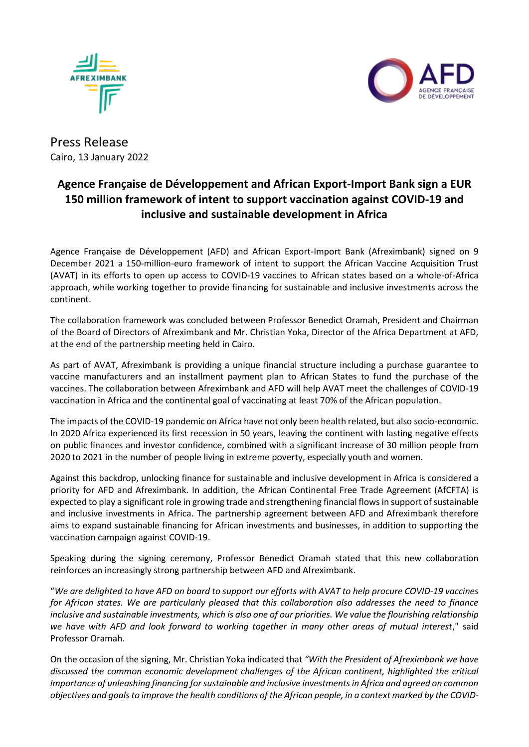



## Press Release Cairo, 13 January 2022

## **Agence Française de Développement and African Export-Import Bank sign a EUR 150 million framework of intent to support vaccination against COVID-19 and inclusive and sustainable development in Africa**

Agence Française de Développement (AFD) and African Export-Import Bank (Afreximbank) signed on 9 December 2021 a 150-million-euro framework of intent to support the African Vaccine Acquisition Trust (AVAT) in its efforts to open up access to COVID-19 vaccines to African states based on a whole-of-Africa approach, while working together to provide financing for sustainable and inclusive investments across the continent.

The collaboration framework was concluded between Professor Benedict Oramah, President and Chairman of the Board of Directors of Afreximbank and Mr. Christian Yoka, Director of the Africa Department at AFD, at the end of the partnership meeting held in Cairo.

As part of AVAT, Afreximbank is providing a unique financial structure including a purchase guarantee to vaccine manufacturers and an installment payment plan to African States to fund the purchase of the vaccines. The collaboration between Afreximbank and AFD will help AVAT meet the challenges of COVID-19 vaccination in Africa and the continental goal of vaccinating at least 70% of the African population.

The impacts of the COVID-19 pandemic on Africa have not only been health related, but also socio-economic. In 2020 Africa experienced its first recession in 50 years, leaving the continent with lasting negative effects on public finances and investor confidence, combined with a significant increase of 30 million people from 2020 to 2021 in the number of people living in extreme poverty, especially youth and women.

Against this backdrop, unlocking finance for sustainable and inclusive development in Africa is considered a priority for AFD and Afreximbank. In addition, the African Continental Free Trade Agreement (AfCFTA) is expected to play a significant role in growing trade and strengthening financial flows in support of sustainable and inclusive investments in Africa. The partnership agreement between AFD and Afreximbank therefore aims to expand sustainable financing for African investments and businesses, in addition to supporting the vaccination campaign against COVID-19.

Speaking during the signing ceremony, Professor Benedict Oramah stated that this new collaboration reinforces an increasingly strong partnership between AFD and Afreximbank.

"*We are delighted to have AFD on board to support our efforts with AVAT to help procure COVID-19 vaccines for African states. We are particularly pleased that this collaboration also addresses the need to finance inclusive and sustainable investments, which is also one of our priorities. We value the flourishing relationship we have with AFD and look forward to working together in many other areas of mutual interest*," said Professor Oramah.

On the occasion of the signing, Mr. Christian Yoka indicated that *"With the President of Afreximbank we have discussed the common economic development challenges of the African continent, highlighted the critical importance of unleashing financing for sustainable and inclusive investments in Africa and agreed on common objectives and goals to improve the health conditions of the African people, in a context marked by the COVID-*